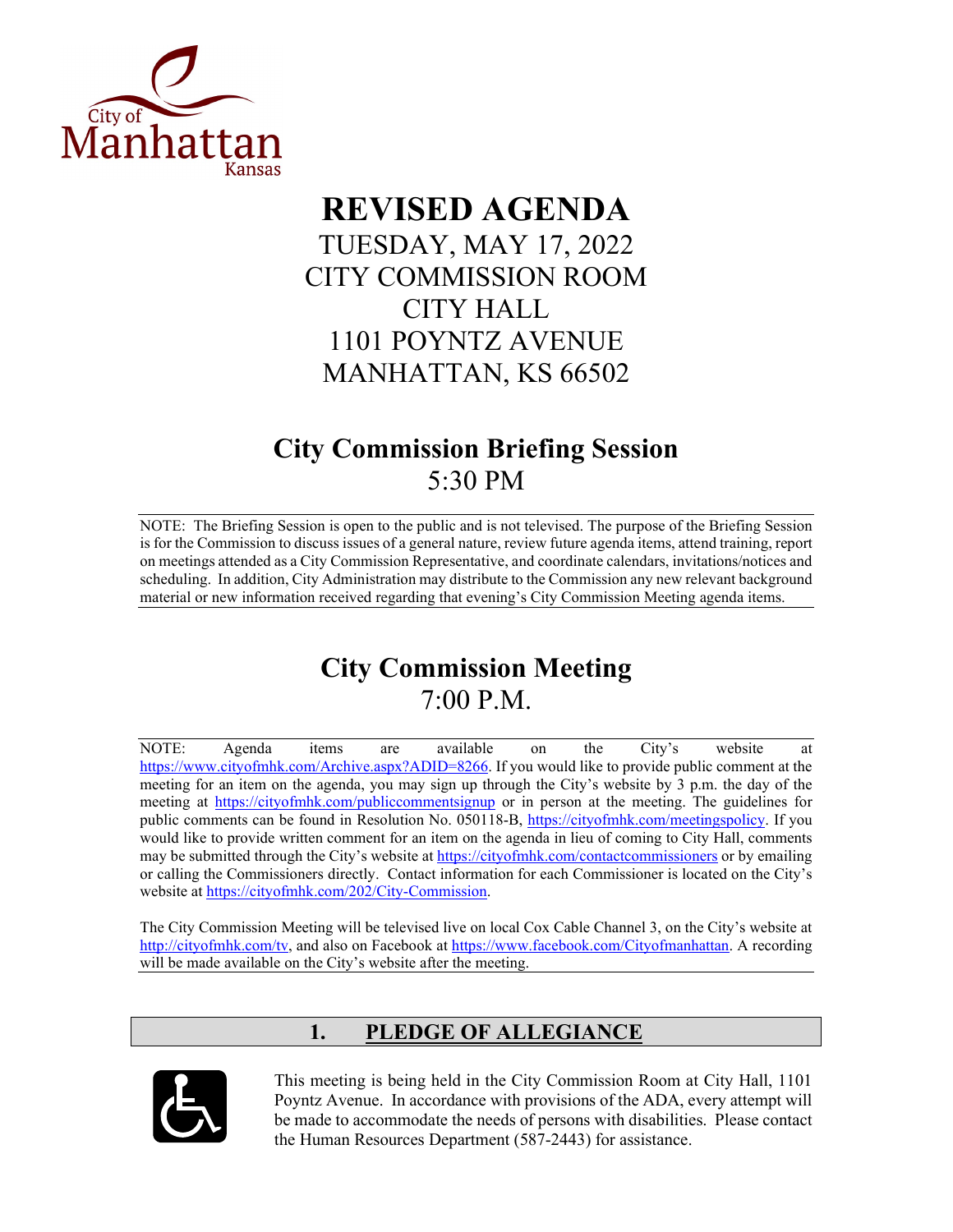

# **REVISED AGENDA** TUESDAY, MAY 17, 2022 CITY COMMISSION ROOM CITY HALL 1101 POYNTZ AVENUE MANHATTAN, KS 66502

# **City Commission Briefing Session** 5:30 PM

NOTE: The Briefing Session is open to the public and is not televised. The purpose of the Briefing Session is for the Commission to discuss issues of a general nature, review future agenda items, attend training, report on meetings attended as a City Commission Representative, and coordinate calendars, invitations/notices and scheduling. In addition, City Administration may distribute to the Commission any new relevant background material or new information received regarding that evening's City Commission Meeting agenda items.

# **City Commission Meeting** 7:00 P.M.

NOTE: Agenda items are available on the City's website at [https://www.cityofmhk.com/Archive.aspx?ADID=8266.](https://www.cityofmhk.com/Archive.aspx?ADID=8266) If you would like to provide public comment at the meeting for an item on the agenda, you may sign up through the City's website by 3 p.m. the day of the meeting at<https://cityofmhk.com/publiccommentsignup> or in person at the meeting. The guidelines for public comments can be found in Resolution No. 050118-B, [https://cityofmhk.com/meetingspolicy.](https://cityofmhk.com/meetingspolicy) If you would like to provide written comment for an item on the agenda in lieu of coming to City Hall, comments may be submitted through the City's website at<https://cityofmhk.com/contactcommissioners> or by emailing or calling the Commissioners directly. Contact information for each Commissioner is located on the City's website at [https://cityofmhk.com/202/City-Commission.](https://cityofmhk.com/202/City-Commission)

The City Commission Meeting will be televised live on local Cox Cable Channel 3, on the City's website at [http://cityofmhk.com/tv,](http://cityofmhk.com/tv) and also on Facebook at [https://www.facebook.com/Cityofmanhattan.](https://www.facebook.com/Cityofmanhattan) A recording will be made available on the City's website after the meeting.

# **1. PLEDGE OF ALLEGIANCE**



This meeting is being held in the City Commission Room at City Hall, 1101 Poyntz Avenue. In accordance with provisions of the ADA, every attempt will be made to accommodate the needs of persons with disabilities. Please contact the Human Resources Department (587-2443) for assistance.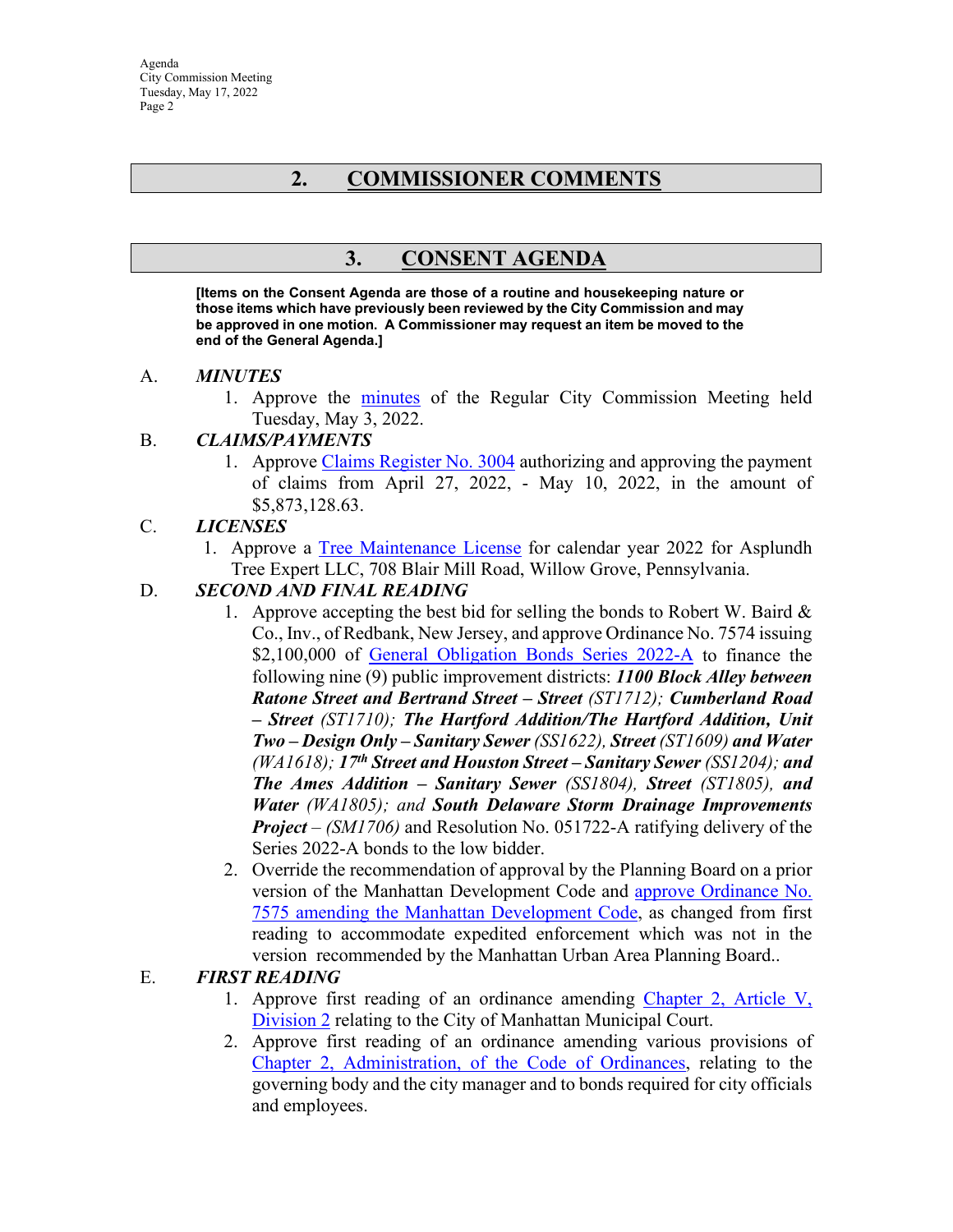Agenda City Commission Meeting Tuesday, May 17, 2022 Page 2

# **2. COMMISSIONER COMMENTS**

# **3. CONSENT AGENDA**

**[Items on the Consent Agenda are those of a routine and housekeeping nature or those items which have previously been reviewed by the City Commission and may be approved in one motion. A Commissioner may request an item be moved to the end of the General Agenda.]** 

#### A. *MINUTES*

1. Approve the [minutes](https://manhattanks.sharepoint.com/:b:/s/CommissionPacket/EWrg53E8BCxCgZBTYLBImLEBJXISA4BbtjjV6ec2YPy8-g?e=Ycgqtx) of the Regular City Commission Meeting held Tuesday, May 3, 2022.

#### B. *CLAIMS/PAYMENTS*

1. Approve [Claims Register No. 3004](https://manhattanks.sharepoint.com/:b:/s/CommissionPacket/ETM5SOSeT39GhD-HU1LC0sABQmL1rtxAKjM4paHMfy-DJA?e=vOnY1a) authorizing and approving the payment of claims from April 27, 2022, - May 10, 2022, in the amount of \$5,873,128.63.

#### C. *LICENSES*

1. Approve a [Tree Maintenance License](https://manhattanks.sharepoint.com/:b:/s/CommissionPacket/EQYbX5npmodNmLVzKwEmFJABwtibrSTW5zLzg28ip0c90w?e=gNyh3J) for calendar year 2022 for Asplundh Tree Expert LLC, 708 Blair Mill Road, Willow Grove, Pennsylvania.

#### D. *SECOND AND FINAL READING*

- 1. Approve accepting the best bid for selling the bonds to Robert W. Baird  $\&$ Co., Inv., of Redbank, New Jersey, and approve Ordinance No. 7574 issuing \$2,100,000 of [General Obligation Bonds Series 2022-A](https://manhattanks.sharepoint.com/:b:/s/CommissionPacket/Ee695WgY3JJPujeDVH4FET8BYusO3N-yPcweaeENm5SuEg?e=6Ek0gi) to finance the following nine (9) public improvement districts: *1100 Block Alley between Ratone Street and Bertrand Street – Street (ST1712); Cumberland Road – Street (ST1710); The Hartford Addition/The Hartford Addition, Unit Two – Design Only – Sanitary Sewer (SS1622), Street (ST1609) and Water (WA1618); 17th Street and Houston Street – Sanitary Sewer (SS1204); and The Ames Addition – Sanitary Sewer (SS1804), Street (ST1805), and Water (WA1805); and South Delaware Storm Drainage Improvements Project – (SM1706)* and Resolution No. 051722-A ratifying delivery of the Series 2022-A bonds to the low bidder.
- 2. Override the recommendation of approval by the Planning Board on a prior version of the Manhattan Development Code and [approve Ordinance No.](https://manhattanks.sharepoint.com/:b:/s/CommissionPacket/ERff53S5kDFOhkUufvp-I8YBTt2pGRFja_FFQu3jBWmh-A?e=TjqUsc)  [7575 amending the Manhattan Development Code,](https://manhattanks.sharepoint.com/:b:/s/CommissionPacket/ERff53S5kDFOhkUufvp-I8YBTt2pGRFja_FFQu3jBWmh-A?e=TjqUsc) as changed from first reading to accommodate expedited enforcement which was not in the version recommended by the Manhattan Urban Area Planning Board..

#### E. *FIRST READING*

- 1. Approve first reading of an ordinance amending [Chapter 2, Article V,](https://manhattanks.sharepoint.com/:b:/s/CommissionPacket/Eb-b-WktqLJAhWIO0fnM-7kBmvwF9pTeZYeXkdOcGg4f7g?e=V68UHv)  [Division 2](https://manhattanks.sharepoint.com/:b:/s/CommissionPacket/Eb-b-WktqLJAhWIO0fnM-7kBmvwF9pTeZYeXkdOcGg4f7g?e=V68UHv) relating to the City of Manhattan Municipal Court.
- 2. Approve first reading of an ordinance amending various provisions of [Chapter 2, Administration, of the Code of Ordinances,](https://manhattanks.sharepoint.com/:b:/s/CommissionPacket/EXESN-lHOX9CjnOcMaqOqGsB3oruXQYuzS97jy21R642DQ?e=nI82Oy) relating to the governing body and the city manager and to bonds required for city officials and employees.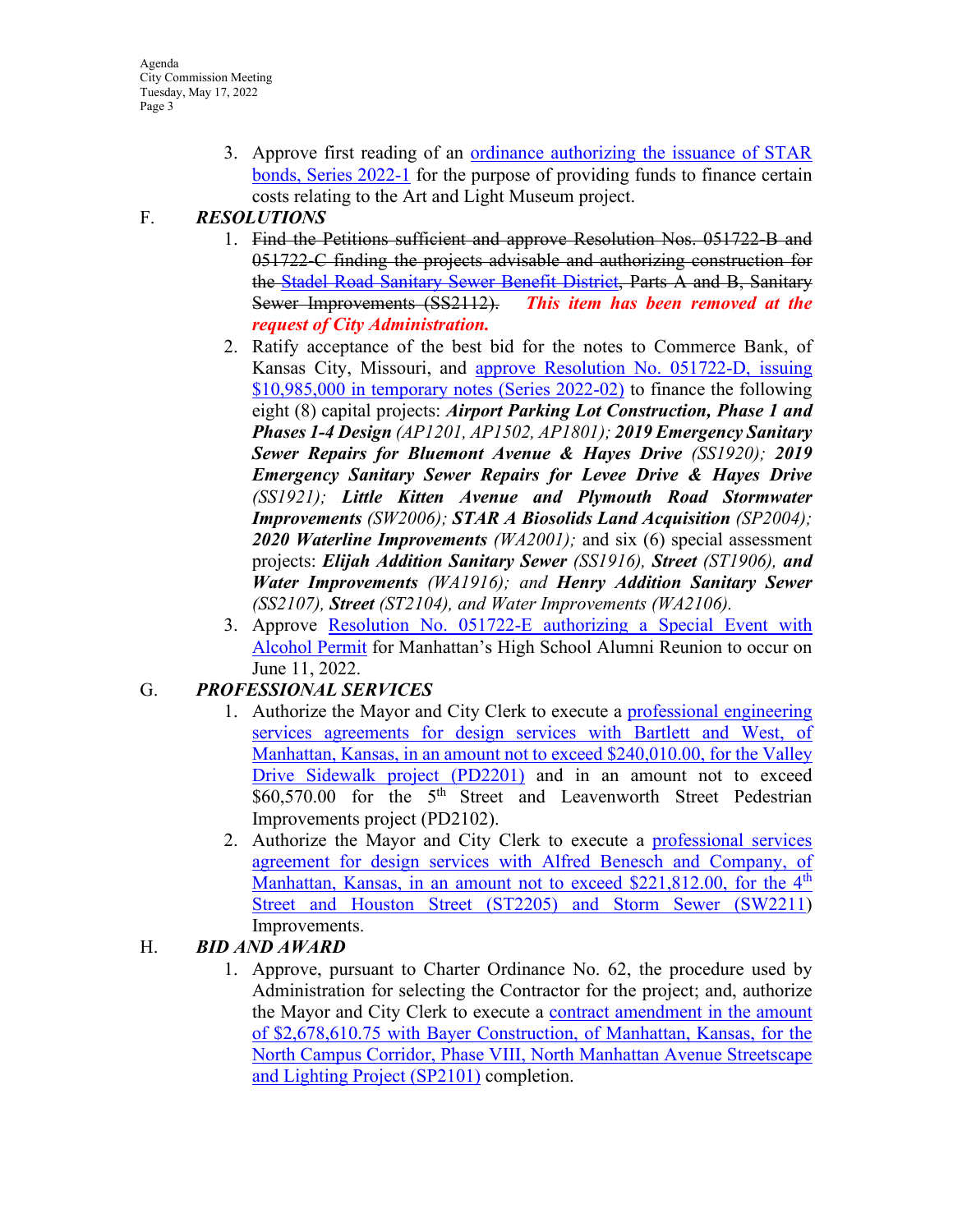3. Approve first reading of an [ordinance authorizing the issuance of](https://manhattanks.sharepoint.com/:b:/s/CommissionPacket/EcRyt5PBaZNMgzs-7s6eogABwSYa5rhaKCVeZOYH0KoThw?e=6QHeAS) STAR [bonds, Series 2022-1](https://manhattanks.sharepoint.com/:b:/s/CommissionPacket/EcRyt5PBaZNMgzs-7s6eogABwSYa5rhaKCVeZOYH0KoThw?e=6QHeAS) for the purpose of providing funds to finance certain costs relating to the Art and Light Museum project.

### F. *RESOLUTIONS*

- 1. Find the Petitions sufficient and approve Resolution Nos. 051722-B and 051722-C finding the projects advisable and authorizing construction for the Stadel Road [Sanitary Sewer Benefit District,](https://manhattanks.sharepoint.com/:b:/s/CommissionPacket/EVtU_MjKX79HitIJXfmADikBuUw2C59tlrmabNaPecUk5A?e=WnKuKh) Parts A and B, Sanitary Sewer Improvements (SS2112). *This item has been removed at the request of City Administration.*
- 2. Ratify acceptance of the best bid for the notes to Commerce Bank, of Kansas City, Missouri, and [approve Resolution No. 051722-D, issuing](https://manhattanks.sharepoint.com/:b:/s/CommissionPacket/EV_mrKfJVNJHko8ZFaGgyjcBdZkS3Jd8sKROSw63orxLqA?e=IelIeQ)  [\\$10,985,000 in temporary notes \(Series 2022-02\)](https://manhattanks.sharepoint.com/:b:/s/CommissionPacket/EV_mrKfJVNJHko8ZFaGgyjcBdZkS3Jd8sKROSw63orxLqA?e=IelIeQ) to finance the following eight (8) capital projects: *Airport Parking Lot Construction, Phase 1 and Phases 1-4 Design (AP1201, AP1502, AP1801); 2019 Emergency Sanitary Sewer Repairs for Bluemont Avenue & Hayes Drive (SS1920); 2019 Emergency Sanitary Sewer Repairs for Levee Drive & Hayes Drive (SS1921); Little Kitten Avenue and Plymouth Road Stormwater Improvements (SW2006); STAR A Biosolids Land Acquisition (SP2004); 2020 Waterline Improvements (WA2001);* and six (6) special assessment projects: *Elijah Addition Sanitary Sewer (SS1916), Street (ST1906), and Water Improvements (WA1916); and Henry Addition Sanitary Sewer (SS2107), Street (ST2104), and Water Improvements (WA2106).*
- 3. Approve [Resolution No. 051722-E authorizing a Special Event with](https://manhattanks.sharepoint.com/:b:/s/CommissionPacket/ESqk3pqaYn9IkuadkbKU8U0Bw-cZW7Wd804LYgS7nfvtkg?e=PYJ0nn)  [Alcohol Permit](https://manhattanks.sharepoint.com/:b:/s/CommissionPacket/ESqk3pqaYn9IkuadkbKU8U0Bw-cZW7Wd804LYgS7nfvtkg?e=PYJ0nn) for Manhattan's High School Alumni Reunion to occur on June 11, 2022.

## G. *PROFESSIONAL SERVICES*

- 1. Authorize the Mayor and City Clerk to execute a [professional engineering](https://manhattanks.sharepoint.com/:b:/s/CommissionPacket/EegQh8EDme9DgDb3aahkQ0MB0mS0VyY3uwGfOxQxLvnVMw?e=qXRi4g)  [services agreements for design services with Bartlett and West, of](https://manhattanks.sharepoint.com/:b:/s/CommissionPacket/EegQh8EDme9DgDb3aahkQ0MB0mS0VyY3uwGfOxQxLvnVMw?e=qXRi4g)  [Manhattan, Kansas, in an amount not to exceed \\$240,010.00, for the Valley](https://manhattanks.sharepoint.com/:b:/s/CommissionPacket/EegQh8EDme9DgDb3aahkQ0MB0mS0VyY3uwGfOxQxLvnVMw?e=qXRi4g)  [Drive Sidewalk project \(PD2201\)](https://manhattanks.sharepoint.com/:b:/s/CommissionPacket/EegQh8EDme9DgDb3aahkQ0MB0mS0VyY3uwGfOxQxLvnVMw?e=qXRi4g) and in an amount not to exceed \$60,570.00 for the 5<sup>th</sup> Street and Leavenworth Street Pedestrian Improvements project (PD2102).
- 2. Authorize the Mayor and City Clerk to execute a [professional services](https://manhattanks.sharepoint.com/:b:/s/CommissionPacket/EWSfhbqGqc5JmYf73UofwAIBfl4KLaElWTs02aW2DyiM8g?e=fOJAy7)  [agreement for design services with Alfred Benesch and Company, of](https://manhattanks.sharepoint.com/:b:/s/CommissionPacket/EWSfhbqGqc5JmYf73UofwAIBfl4KLaElWTs02aW2DyiM8g?e=fOJAy7)  Manhattan, Kansas, in an amount not to exceed  $$221,812.00$ , for the  $4<sup>th</sup>$ [Street and Houston Street \(ST2205\) and Storm Sewer \(SW2211\)](https://manhattanks.sharepoint.com/:b:/s/CommissionPacket/EWSfhbqGqc5JmYf73UofwAIBfl4KLaElWTs02aW2DyiM8g?e=fOJAy7) Improvements.

## H. *BID AND AWARD*

1. Approve, pursuant to Charter Ordinance No. 62, the procedure used by Administration for selecting the Contractor for the project; and, authorize the Mayor and City Clerk to execute a [contract amendment in the amount](https://manhattanks.sharepoint.com/:b:/s/CommissionPacket/Ee0WEWHtjABCo0N00c3OJeIBCDFJdxbl8T0dID99fAIVcA?e=h7b8La)  [of \\$2,678,610.75 with Bayer Construction, of Manhattan, Kansas, for the](https://manhattanks.sharepoint.com/:b:/s/CommissionPacket/Ee0WEWHtjABCo0N00c3OJeIBCDFJdxbl8T0dID99fAIVcA?e=h7b8La)  [North Campus Corridor, Phase VIII, North Manhattan Avenue Streetscape](https://manhattanks.sharepoint.com/:b:/s/CommissionPacket/Ee0WEWHtjABCo0N00c3OJeIBCDFJdxbl8T0dID99fAIVcA?e=h7b8La)  [and Lighting Project \(SP2101\)](https://manhattanks.sharepoint.com/:b:/s/CommissionPacket/Ee0WEWHtjABCo0N00c3OJeIBCDFJdxbl8T0dID99fAIVcA?e=h7b8La) completion.